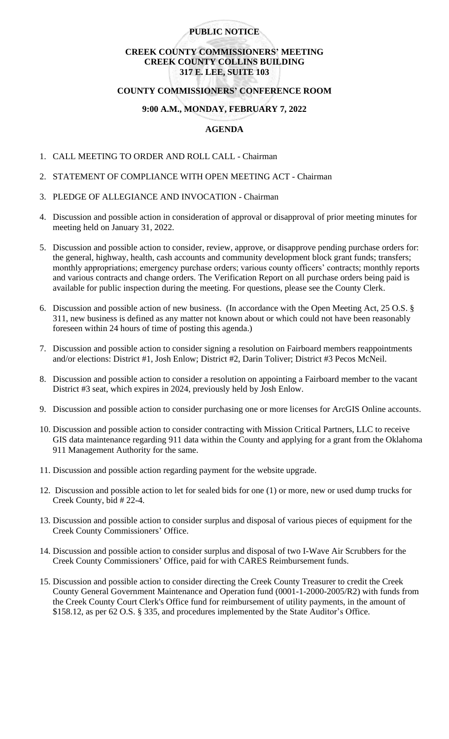## **PUBLIC NOTICE**

# **CREEK COUNTY COMMISSIONERS' MEETING CREEK COUNTY COLLINS BUILDING 317 E. LEE, SUITE 103**

## **COUNTY COMMISSIONERS' CONFERENCE ROOM**

## **9:00 A.M., MONDAY, FEBRUARY 7, 2022**

# **AGENDA**

- 1. CALL MEETING TO ORDER AND ROLL CALL Chairman
- 2. STATEMENT OF COMPLIANCE WITH OPEN MEETING ACT Chairman
- 3. PLEDGE OF ALLEGIANCE AND INVOCATION Chairman
- 4. Discussion and possible action in consideration of approval or disapproval of prior meeting minutes for meeting held on January 31, 2022.
- 5. Discussion and possible action to consider, review, approve, or disapprove pending purchase orders for: the general, highway, health, cash accounts and community development block grant funds; transfers; monthly appropriations; emergency purchase orders; various county officers' contracts; monthly reports and various contracts and change orders. The Verification Report on all purchase orders being paid is available for public inspection during the meeting. For questions, please see the County Clerk.
- 6. Discussion and possible action of new business. (In accordance with the Open Meeting Act, 25 O.S. § 311, new business is defined as any matter not known about or which could not have been reasonably foreseen within 24 hours of time of posting this agenda.)
- 7. Discussion and possible action to consider signing a resolution on Fairboard members reappointments and/or elections: District #1, Josh Enlow; District #2, Darin Toliver; District #3 Pecos McNeil.
- 8. Discussion and possible action to consider a resolution on appointing a Fairboard member to the vacant District #3 seat, which expires in 2024, previously held by Josh Enlow.
- 9. Discussion and possible action to consider purchasing one or more licenses for ArcGIS Online accounts.
- 10. Discussion and possible action to consider contracting with Mission Critical Partners, LLC to receive GIS data maintenance regarding 911 data within the County and applying for a grant from the Oklahoma 911 Management Authority for the same.
- 11. Discussion and possible action regarding payment for the website upgrade.
- 12. Discussion and possible action to let for sealed bids for one (1) or more, new or used dump trucks for Creek County, bid # 22-4.
- 13. Discussion and possible action to consider surplus and disposal of various pieces of equipment for the Creek County Commissioners' Office.
- 14. Discussion and possible action to consider surplus and disposal of two I-Wave Air Scrubbers for the Creek County Commissioners' Office, paid for with CARES Reimbursement funds.
- 15. Discussion and possible action to consider directing the Creek County Treasurer to credit the Creek County General Government Maintenance and Operation fund (0001-1-2000-2005/R2) with funds from the Creek County Court Clerk's Office fund for reimbursement of utility payments, in the amount of \$158.12, as per 62 O.S. § 335, and procedures implemented by the State Auditor's Office.